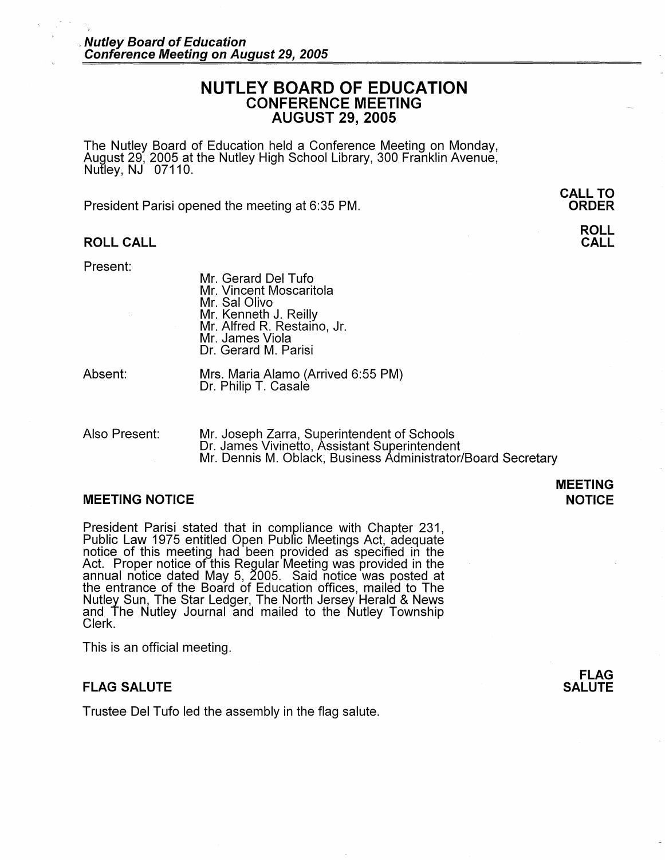# **NUTLEY BOARD OF EDUCATION CONFERENCE MEETING AUGUST 29, 2005**

The Nutley Board of Education held a Conference Meeting on Monday, August 29, 2005 at the Nutley High School Library, 300 Franklin Avenue, Nutley, NJ 07110.

President Parisi opened the meeting at 6:35 PM.

#### **ROLL CALL**

Present:

Mr. Gerard Del Tufo Mr. Vincent Moscaritola Mr. Sal Olivo Mr. Kenneth J. Reilly Mr. Alfred R. Restaino, Jr. Mr. James Viola Dr. Gerard M. Parisi

Absent:

Mrs. Maria Alamo (Arrived 6:55 PM) Dr. Philip T. Casale

Also Present: Mr. Joseph Zarra, Superintendent of Schools Dr. James Vivinetto, Assistant Superintendent Mr. Dennis M. Oblack, Business Administrator/Board Secretary

#### **MEETING NOTICE**

President Parisi stated that in compliance with Chapter 231, Public Law 1975 entitled Open Public Meetings Act, adequate notice of this meeting had been provided as specified in the Act. Proper notice of this Regular Meeting was provided in the annual notice dated May 5, 2005. Said notice was posted at the entrance of the Board of Education offices, mailed to The Nutley Sun, The Star Ledger, The North Jersey Herald & News and The Nutley Journal and mailed to the Nutley Township Clerk.

This is an official meeting.

## **FLAG SALUTE**

Trustee Del Tufo led the assembly in the flag salute.

**FLAG SALUTE** 

## **MEETING NOTICE**

# **CALL TO ORDER**

**ROLL CALL**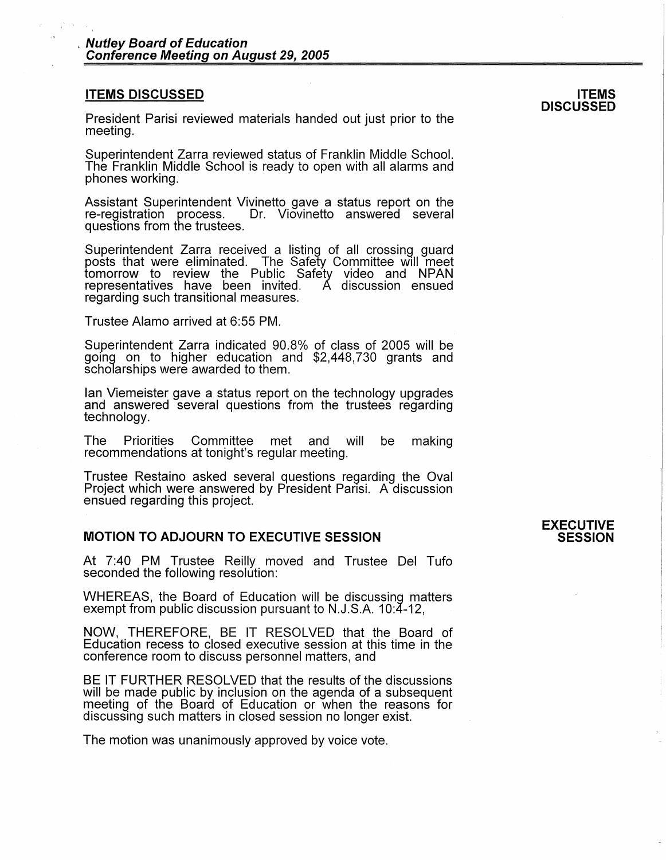#### **ITEMS DISCUSSED**

President Parisi reviewed materials handed out just prior to the meeting.

Superintendent Zarra reviewed status of Franklin Middle School. The Franklin Middle School is ready to open with all alarms and phones working.

Assistant Superintendent Vivinetto gave a status report on the re-registration process. Dr. Viovinetto answered several Dr. Viovinetto answered several questions from the trustees.

Superintendent Zarra received a listing of all crossing guard posts that were eliminated. The Safety Committee will meet tomorrow to review the Public Safety video and NPAN<br>representatives have been invited. A discussion ensued representatives have been invited. regarding such transitional measures.

Trustee Alamo arrived at 6:55 PM.

Superintendent Zarra indicated 90.8% of class of 2005 will be going on to higher education and \$2,448,730 grants and scholarships were awarded to them.

Ian Viemeister gave a status report on the technology upgrades and answered several questions from the trustees regarding technology.

The Priorities Committee met and will be making recommendations at tonight's regular meeting.

Trustee Restaino asked several questions regarding the Oval Project which were answered by President Parisi. A discussion ensued regarding this project.

## **MOTION TO ADJOURN TO EXECUTIVE SESSION**

At 7:40 PM Trustee Reilly moved and Trustee Del Tufo seconded the following resolution:

WHEREAS, the Board of Education will be discussing matters exempt from public discussion pursuant to N.J.S.A. 10:4-12,

NOW, THEREFORE, BE IT RESOLVED that the Board of Education recess to closed executive session at this time in the conference room to discuss personnel matters, and

BE IT FURTHER RESOLVED that the results of the discussions will be made public by inclusion on the agenda of a subsequent meeting of the Board of Education or when the reasons for discussing such matters in closed session no longer exist.

The motion was unanimously approved by voice vote.

## **EXECUTIVE SESSION**

**ITEMS DISCUSSED**